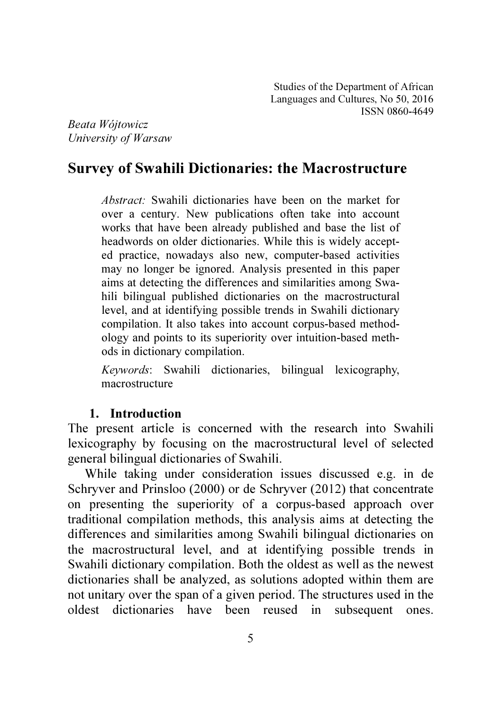*Beata Wójtowicz University of Warsaw* 

# Survey of Swahili Dictionaries: the Macrostructure

*Abstract:* Swahili dictionaries have been on the market for over a century. New publications often take into account works that have been already published and base the list of headwords on older dictionaries. While this is widely accepted practice, nowadays also new, computer-based activities may no longer be ignored. Analysis presented in this paper aims at detecting the differences and similarities among Swahili bilingual published dictionaries on the macrostructural level, and at identifying possible trends in Swahili dictionary compilation. It also takes into account corpus-based methodology and points to its superiority over intuition-based methods in dictionary compilation.

*Keywords*: Swahili dictionaries, bilingual lexicography, macrostructure

## 1. Introduction

The present article is concerned with the research into Swahili lexicography by focusing on the macrostructural level of selected general bilingual dictionaries of Swahili.

While taking under consideration issues discussed e.g. in de Schryver and Prinsloo (2000) or de Schryver (2012) that concentrate on presenting the superiority of a corpus-based approach over traditional compilation methods, this analysis aims at detecting the differences and similarities among Swahili bilingual dictionaries on the macrostructural level, and at identifying possible trends in Swahili dictionary compilation. Both the oldest as well as the newest dictionaries shall be analyzed, as solutions adopted within them are not unitary over the span of a given period. The structures used in the oldest dictionaries have been reused in subsequent ones.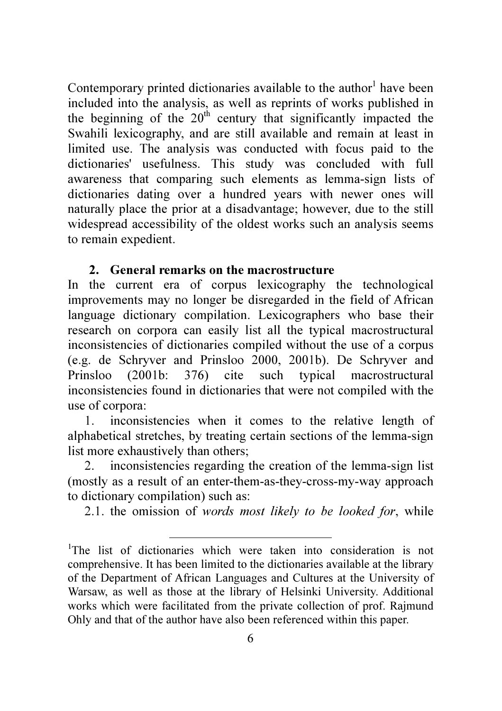Contemporary printed dictionaries available to the author<sup>1</sup> have been included into the analysis, as well as reprints of works published in the beginning of the  $20<sup>th</sup>$  century that significantly impacted the Swahili lexicography, and are still available and remain at least in limited use. The analysis was conducted with focus paid to the dictionaries' usefulness. This study was concluded with full awareness that comparing such elements as lemma-sign lists of dictionaries dating over a hundred years with newer ones will naturally place the prior at a disadvantage; however, due to the still widespread accessibility of the oldest works such an analysis seems to remain expedient.

# 2. General remarks on the macrostructure

In the current era of corpus lexicography the technological improvements may no longer be disregarded in the field of African language dictionary compilation. Lexicographers who base their research on corpora can easily list all the typical macrostructural inconsistencies of dictionaries compiled without the use of a corpus (e.g. de Schryver and Prinsloo 2000, 2001b). De Schryver and Prinsloo (2001b: 376) cite such typical macrostructural inconsistencies found in dictionaries that were not compiled with the use of corpora:

1. inconsistencies when it comes to the relative length of alphabetical stretches, by treating certain sections of the lemma-sign list more exhaustively than others;

2. inconsistencies regarding the creation of the lemma-sign list (mostly as a result of an enter-them-as-they-cross-my-way approach to dictionary compilation) such as:

2.1. the omission of *words most likely to be looked for*, while

 $\overline{a}$ 

<sup>&</sup>lt;sup>1</sup>The list of dictionaries which were taken into consideration is not comprehensive. It has been limited to the dictionaries available at the library of the Department of African Languages and Cultures at the University of Warsaw, as well as those at the library of Helsinki University. Additional works which were facilitated from the private collection of prof. Rajmund Ohly and that of the author have also been referenced within this paper.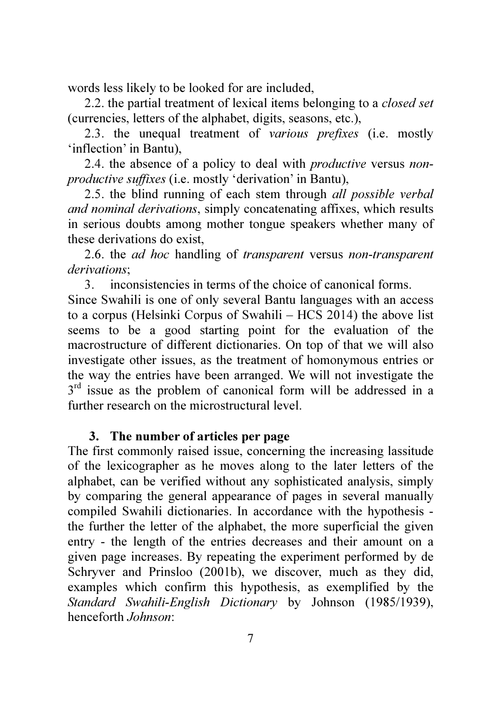words less likely to be looked for are included,

2.2. the partial treatment of lexical items belonging to a *closed set* (currencies, letters of the alphabet, digits, seasons, etc.),

2.3. the unequal treatment of *various prefixes* (i.e. mostly 'inflection' in Bantu),

2.4. the absence of a policy to deal with *productive* versus *nonproductive suffixes* (i.e. mostly 'derivation' in Bantu),

2.5. the blind running of each stem through *all possible verbal and nominal derivations*, simply concatenating affixes, which results in serious doubts among mother tongue speakers whether many of these derivations do exist,

2.6. the *ad hoc* handling of *transparent* versus *non-transparent derivations*;

3. inconsistencies in terms of the choice of canonical forms. Since Swahili is one of only several Bantu languages with an access to a corpus (Helsinki Corpus of Swahili – HCS 2014) the above list seems to be a good starting point for the evaluation of the macrostructure of different dictionaries. On top of that we will also investigate other issues, as the treatment of homonymous entries or the way the entries have been arranged. We will not investigate the  $3<sup>rd</sup>$  issue as the problem of canonical form will be addressed in a further research on the microstructural level.

# 3. The number of articles per page

The first commonly raised issue, concerning the increasing lassitude of the lexicographer as he moves along to the later letters of the alphabet, can be verified without any sophisticated analysis, simply by comparing the general appearance of pages in several manually compiled Swahili dictionaries. In accordance with the hypothesis the further the letter of the alphabet, the more superficial the given entry - the length of the entries decreases and their amount on a given page increases. By repeating the experiment performed by de Schryver and Prinsloo (2001b), we discover, much as they did, examples which confirm this hypothesis, as exemplified by the *Standard Swahili-English Dictionary* by Johnson (1985/1939), henceforth *Johnson*: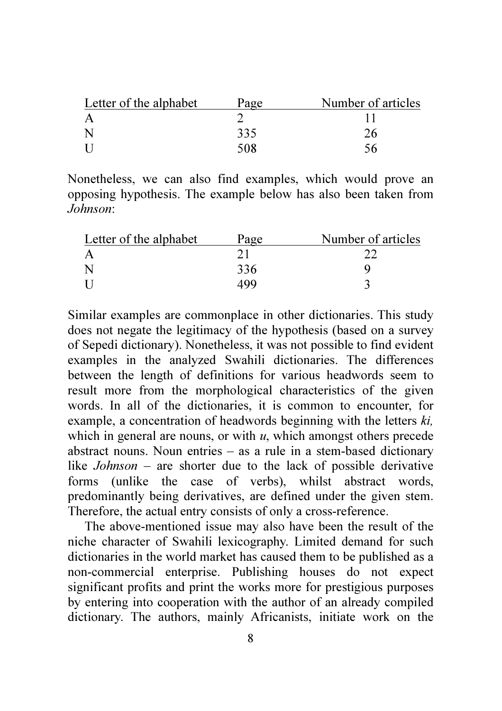| Letter of the alphabet | Page | Number of articles |
|------------------------|------|--------------------|
|                        |      |                    |
|                        | 335  |                    |
|                        | 508  |                    |

Nonetheless, we can also find examples, which would prove an opposing hypothesis. The example below has also been taken from *Johnson*:

| Letter of the alphabet | Page | Number of articles |
|------------------------|------|--------------------|
|                        |      |                    |
|                        | 336  |                    |
| -11                    | 499  |                    |

Similar examples are commonplace in other dictionaries. This study does not negate the legitimacy of the hypothesis (based on a survey of Sepedi dictionary). Nonetheless, it was not possible to find evident examples in the analyzed Swahili dictionaries. The differences between the length of definitions for various headwords seem to result more from the morphological characteristics of the given words. In all of the dictionaries, it is common to encounter, for example, a concentration of headwords beginning with the letters *ki,* which in general are nouns, or with *u*, which amongst others precede abstract nouns. Noun entries – as a rule in a stem-based dictionary like *Johnson* – are shorter due to the lack of possible derivative forms (unlike the case of verbs), whilst abstract words, predominantly being derivatives, are defined under the given stem. Therefore, the actual entry consists of only a cross-reference.

The above-mentioned issue may also have been the result of the niche character of Swahili lexicography. Limited demand for such dictionaries in the world market has caused them to be published as a non-commercial enterprise. Publishing houses do not expect significant profits and print the works more for prestigious purposes by entering into cooperation with the author of an already compiled dictionary. The authors, mainly Africanists, initiate work on the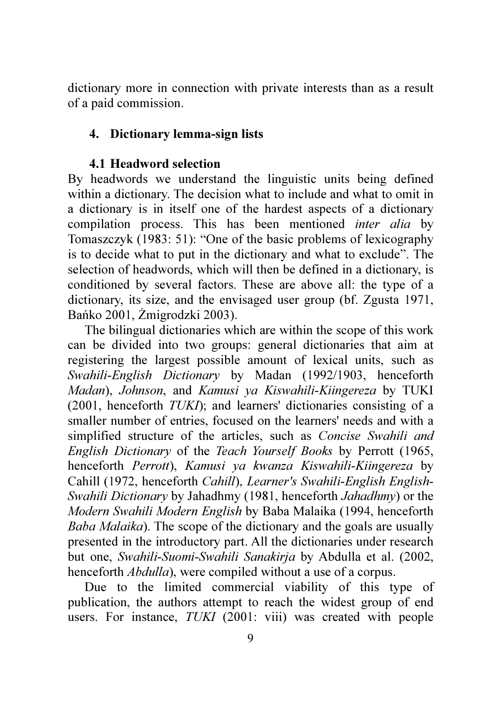dictionary more in connection with private interests than as a result of a paid commission.

## 4. Dictionary lemma-sign lists

### 4.1 Headword selection

By headwords we understand the linguistic units being defined within a dictionary. The decision what to include and what to omit in a dictionary is in itself one of the hardest aspects of a dictionary compilation process. This has been mentioned *inter alia* by Tomaszczyk (1983: 51): "One of the basic problems of lexicography is to decide what to put in the dictionary and what to exclude". The selection of headwords, which will then be defined in a dictionary, is conditioned by several factors. These are above all: the type of a dictionary, its size, and the envisaged user group (bf. Zgusta 1971, Bańko 2001, Żmigrodzki 2003).

The bilingual dictionaries which are within the scope of this work can be divided into two groups: general dictionaries that aim at registering the largest possible amount of lexical units, such as *Swahili-English Dictionary* by Madan (1992/1903, henceforth *Madan*), *Johnson*, and *Kamusi ya Kiswahili-Kiingereza* by TUKI (2001, henceforth *TUKI*); and learners' dictionaries consisting of a smaller number of entries, focused on the learners' needs and with a simplified structure of the articles, such as *Concise Swahili and English Dictionary* of the *Teach Yourself Books* by Perrott (1965, henceforth *Perrott*), *Kamusi ya kwanza Kiswahili-Kiingereza* by Cahill (1972, henceforth *Cahill*), *Learner's Swahili-English English-Swahili Dictionary* by Jahadhmy (1981, henceforth *Jahadhmy*) or the *Modern Swahili Modern English* by Baba Malaika (1994, henceforth *Baba Malaika*). The scope of the dictionary and the goals are usually presented in the introductory part. All the dictionaries under research but one, *Swahili-Suomi-Swahili Sanakirja* by Abdulla et al. (2002, henceforth *Abdulla*), were compiled without a use of a corpus.

Due to the limited commercial viability of this type of publication, the authors attempt to reach the widest group of end users. For instance, *TUKI* (2001: viii) was created with people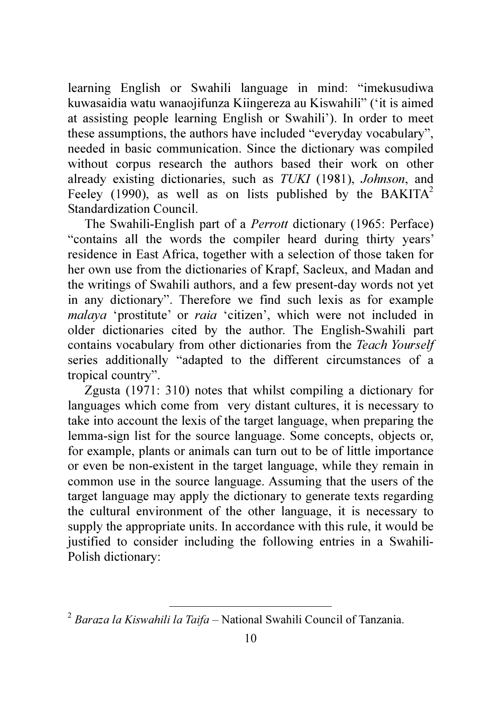learning English or Swahili language in mind: "imekusudiwa kuwasaidia watu wanaojifunza Kiingereza au Kiswahili" ('it is aimed at assisting people learning English or Swahili'). In order to meet these assumptions, the authors have included "everyday vocabulary", needed in basic communication. Since the dictionary was compiled without corpus research the authors based their work on other already existing dictionaries, such as *TUKI* (1981), *Johnson*, and Feeley (1990), as well as on lists published by the BAKITA<sup>2</sup> Standardization Council.

The Swahili-English part of a *Perrott* dictionary (1965: Perface) "contains all the words the compiler heard during thirty years' residence in East Africa, together with a selection of those taken for her own use from the dictionaries of Krapf, Sacleux, and Madan and the writings of Swahili authors, and a few present-day words not yet in any dictionary". Therefore we find such lexis as for example *malaya* 'prostitute' or *raia* 'citizen', which were not included in older dictionaries cited by the author. The English-Swahili part contains vocabulary from other dictionaries from the *Teach Yourself* series additionally "adapted to the different circumstances of a tropical country".

Zgusta (1971: 310) notes that whilst compiling a dictionary for languages which come from very distant cultures, it is necessary to take into account the lexis of the target language, when preparing the lemma-sign list for the source language. Some concepts, objects or, for example, plants or animals can turn out to be of little importance or even be non-existent in the target language, while they remain in common use in the source language. Assuming that the users of the target language may apply the dictionary to generate texts regarding the cultural environment of the other language, it is necessary to supply the appropriate units. In accordance with this rule, it would be justified to consider including the following entries in a Swahili-Polish dictionary:

l,

<sup>2</sup> *Baraza la Kiswahili la Taifa* – National Swahili Council of Tanzania.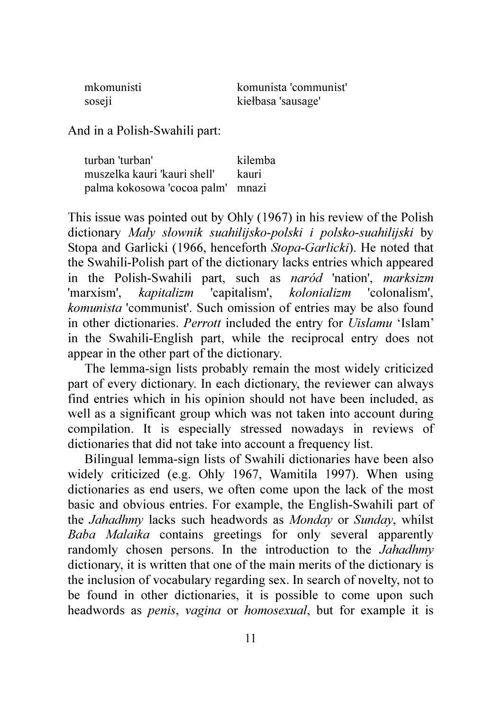| mkomunisti         | komunista 'communist' |
|--------------------|-----------------------|
| sose <sub>ll</sub> | kiełbasa 'sausage'    |

And in a Polish-Swahili part:

| turban 'turban'                   | kilemba |
|-----------------------------------|---------|
| muszelka kauri 'kauri shell'      | – kauri |
| palma kokosowa 'cocoa palm' mnazi |         |

This issue was pointed out by Ohly (1967) in his review of the Polish dictionary *Mały słownik suahilijsko-polski i polsko-suahilijski* by Stopa and Garlicki (1966, henceforth *Stopa-Garlicki*). He noted that the Swahili-Polish part of the dictionary lacks entries which appeared in the Polish-Swahili part, such as *naród* 'nation', *marksizm* 'marxism', *kapitalizm* 'capitalism', *kolonializm* 'colonalism', *komunista* 'communist'. Such omission of entries may be also found in other dictionaries. *Perrott* included the entry for *Uislamu* 'Islam' in the Swahili-English part, while the reciprocal entry does not appear in the other part of the dictionary.

The lemma-sign lists probably remain the most widely criticized part of every dictionary. In each dictionary, the reviewer can always find entries which in his opinion should not have been included, as well as a significant group which was not taken into account during compilation. It is especially stressed nowadays in reviews of dictionaries that did not take into account a frequency list.

Bilingual lemma-sign lists of Swahili dictionaries have been also widely criticized (e.g. Ohly 1967, Wamitila 1997). When using dictionaries as end users, we often come upon the lack of the most basic and obvious entries. For example, the English-Swahili part of the *Jahadhmy* lacks such headwords as *Monday* or *Sunday*, whilst *Baba Malaika* contains greetings for only several apparently randomly chosen persons. In the introduction to the *Jahadhmy* dictionary, it is written that one of the main merits of the dictionary is the inclusion of vocabulary regarding sex. In search of novelty, not to be found in other dictionaries, it is possible to come upon such headwords as *penis*, *vagina* or *homosexual*, but for example it is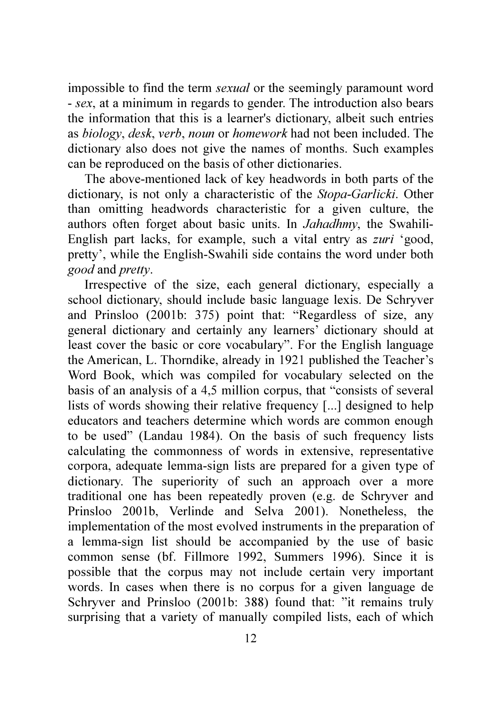impossible to find the term *sexual* or the seemingly paramount word - *sex*, at a minimum in regards to gender. The introduction also bears the information that this is a learner's dictionary, albeit such entries as *biology*, *desk*, *verb*, *noun* or *homework* had not been included. The dictionary also does not give the names of months. Such examples can be reproduced on the basis of other dictionaries.

The above-mentioned lack of key headwords in both parts of the dictionary, is not only a characteristic of the *Stopa-Garlicki*. Other than omitting headwords characteristic for a given culture, the authors often forget about basic units. In *Jahadhmy*, the Swahili-English part lacks, for example, such a vital entry as *zuri* 'good, pretty', while the English-Swahili side contains the word under both *good* and *pretty*.

Irrespective of the size, each general dictionary, especially a school dictionary, should include basic language lexis. De Schryver and Prinsloo (2001b: 375) point that: "Regardless of size, any general dictionary and certainly any learners' dictionary should at least cover the basic or core vocabulary". For the English language the American, L. Thorndike, already in 1921 published the Teacher's Word Book, which was compiled for vocabulary selected on the basis of an analysis of a 4,5 million corpus, that "consists of several lists of words showing their relative frequency [...] designed to help educators and teachers determine which words are common enough to be used" (Landau 1984). On the basis of such frequency lists calculating the commonness of words in extensive, representative corpora, adequate lemma-sign lists are prepared for a given type of dictionary. The superiority of such an approach over a more traditional one has been repeatedly proven (e.g. de Schryver and Prinsloo 2001b, Verlinde and Selva 2001). Nonetheless, the implementation of the most evolved instruments in the preparation of a lemma-sign list should be accompanied by the use of basic common sense (bf. Fillmore 1992, Summers 1996). Since it is possible that the corpus may not include certain very important words. In cases when there is no corpus for a given language de Schryver and Prinsloo (2001b: 388) found that: "it remains truly surprising that a variety of manually compiled lists, each of which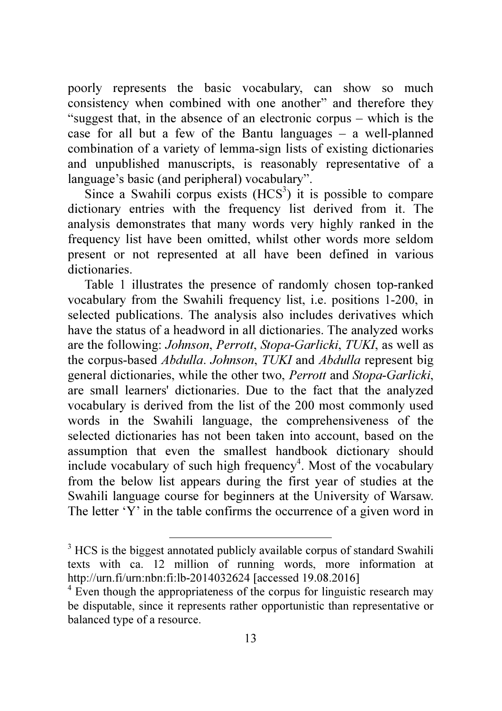poorly represents the basic vocabulary, can show so much consistency when combined with one another" and therefore they "suggest that, in the absence of an electronic corpus – which is the case for all but a few of the Bantu languages – a well-planned combination of a variety of lemma-sign lists of existing dictionaries and unpublished manuscripts, is reasonably representative of a language's basic (and peripheral) vocabulary".

Since a Swahili corpus exists  $(HCS<sup>3</sup>)$  it is possible to compare dictionary entries with the frequency list derived from it. The analysis demonstrates that many words very highly ranked in the frequency list have been omitted, whilst other words more seldom present or not represented at all have been defined in various dictionaries.

Table 1 illustrates the presence of randomly chosen top-ranked vocabulary from the Swahili frequency list, i.e. positions 1-200, in selected publications. The analysis also includes derivatives which have the status of a headword in all dictionaries. The analyzed works are the following: *Johnson*, *Perrott*, *Stopa-Garlicki*, *TUKI*, as well as the corpus-based *Abdulla*. *Johnson*, *TUKI* and *Abdulla* represent big general dictionaries, while the other two, *Perrott* and *Stopa-Garlicki*, are small learners' dictionaries. Due to the fact that the analyzed vocabulary is derived from the list of the 200 most commonly used words in the Swahili language, the comprehensiveness of the selected dictionaries has not been taken into account, based on the assumption that even the smallest handbook dictionary should include vocabulary of such high frequency<sup>4</sup>. Most of the vocabulary from the below list appears during the first year of studies at the Swahili language course for beginners at the University of Warsaw. The letter 'Y' in the table confirms the occurrence of a given word in

 $\overline{a}$ 

<sup>&</sup>lt;sup>3</sup> HCS is the biggest annotated publicly available corpus of standard Swahili texts with ca. 12 million of running words, more information at http://urn.fi/urn:nbn:fi:lb-2014032624 [accessed 19.08.2016]

<sup>&</sup>lt;sup>4</sup> Even though the appropriateness of the corpus for linguistic research may be disputable, since it represents rather opportunistic than representative or balanced type of a resource.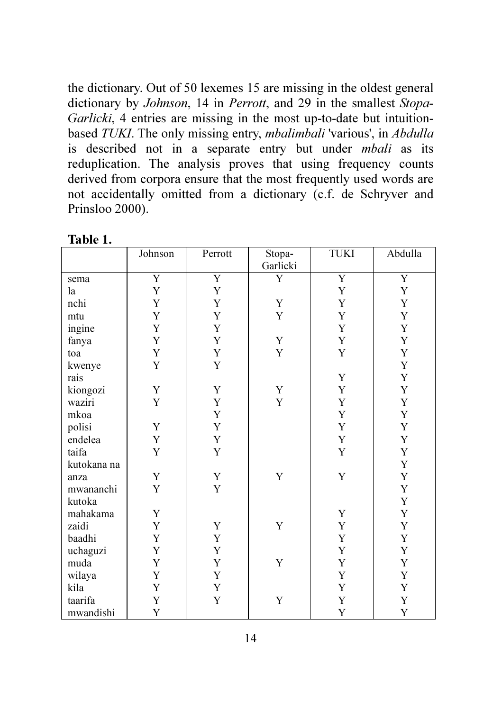the dictionary. Out of 50 lexemes 15 are missing in the oldest general dictionary by *Johnson*, 14 in *Perrott*, and 29 in the smallest *Stopa-Garlicki*, 4 entries are missing in the most up-to-date but intuitionbased *TUKI*. The only missing entry, *mbalimbali* 'various', in *Abdulla* is described not in a separate entry but under *mbali* as its reduplication. The analysis proves that using frequency counts derived from corpora ensure that the most frequently used words are not accidentally omitted from a dictionary (c.f. de Schryver and Prinsloo 2000).

|             | Johnson        | Perrott        | Stopa-<br>Garlicki | <b>TUKI</b>    | Abdulla        |
|-------------|----------------|----------------|--------------------|----------------|----------------|
|             | $\overline{Y}$ | $\overline{Y}$ | Y                  | $\overline{Y}$ | $\overline{Y}$ |
| sema        |                |                |                    |                |                |
| la          | $\mathbf Y$    | $\mathbf Y$    |                    | $\mathbf Y$    | Y              |
| nchi        | Y              | Y              | Y                  | $\mathbf Y$    | Y              |
| mtu         | $\mathbf Y$    | Y              | Y                  | $\mathbf Y$    | Y              |
| ingine      | $\mathbf Y$    | $\mathbf Y$    |                    | $\mathbf Y$    | Y              |
| fanya       | $\mathbf Y$    | $\mathbf Y$    | $\mathbf Y$        | $\mathbf Y$    | $\mathbf Y$    |
| toa         | $\mathbf Y$    | $\mathbf Y$    | $\mathbf Y$        | $\mathbf Y$    | Y              |
| kwenye      | $\mathbf Y$    | $\mathbf Y$    |                    |                | Y              |
| rais        |                |                |                    | Y              | Y              |
| kiongozi    | $\mathbf Y$    | Y              | Y                  | $\mathbf Y$    | Y              |
| waziri      | Y              | $\mathbf Y$    | $\mathbf Y$        | $\mathbf Y$    | $\mathbf Y$    |
| mkoa        |                | $\mathbf Y$    |                    | $\mathbf Y$    | Y              |
| polisi      | Y              | $\mathbf Y$    |                    | $\mathbf Y$    | Y              |
| endelea     | $\mathbf Y$    | $\mathbf Y$    |                    | $\mathbf Y$    | Y              |
| taifa       | $\mathbf Y$    | Y              |                    | $\mathbf Y$    | $\mathbf Y$    |
| kutokana na |                |                |                    |                | Y              |
| anza        | Y              | Y              | $\mathbf Y$        | $\mathbf Y$    | Y              |
| mwananchi   | Y              | Y              |                    |                | Y              |
| kutoka      |                |                |                    |                | $\mathbf Y$    |
| mahakama    | Y              |                |                    | Y              | Y              |
| zaidi       | $\mathbf Y$    | Y              | Y                  | $\mathbf Y$    | Y              |
| baadhi      | Y              | $\mathbf Y$    |                    | $\mathbf Y$    | Y              |
| uchaguzi    | Y              | $\mathbf Y$    |                    | $\mathbf Y$    | Y              |
| muda        | $\mathbf Y$    | $\mathbf Y$    | $\mathbf Y$        | $\mathbf Y$    | Y              |
| wilaya      | $\mathbf Y$    | Y              |                    | $\mathbf Y$    | Y              |
| kila        | Y              | $\mathbf Y$    |                    | $\mathbf Y$    | Y              |
| taarifa     | Y              | Y              | Y                  | $\mathbf Y$    | Y              |
|             |                |                |                    | Y              |                |
| mwandishi   | Y              |                |                    |                | Y              |

Table 1.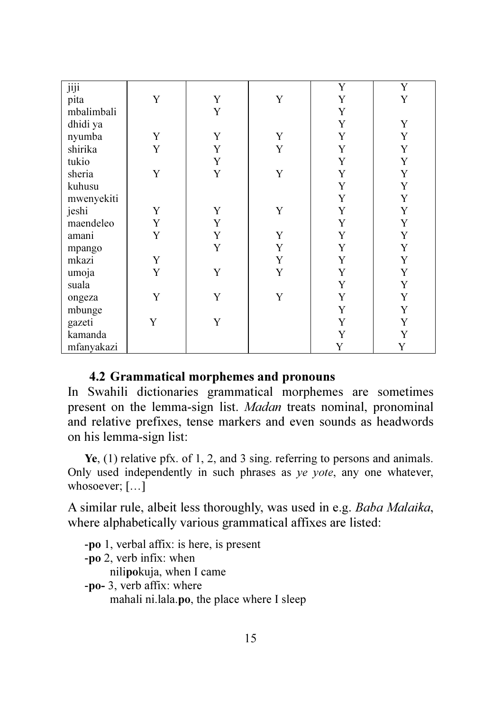| jiji       |             |             |             | Y           | Y |
|------------|-------------|-------------|-------------|-------------|---|
| pita       | Y           | Y           | Y           | Y           | Y |
| mbalimbali |             | Y           |             | Y           |   |
| dhidi ya   |             |             |             | Y           | Y |
| nyumba     | Y           | Y           | Y           | Y           | Y |
| shirika    | Y           | Y           | Y           | Y           | Y |
| tukio      |             | $\mathbf Y$ |             | Y           | Y |
| sheria     | Y           | Y           | Y           | Y           | Y |
| kuhusu     |             |             |             | Y           | Y |
| mwenyekiti |             |             |             | Y           | Y |
| jeshi      | Y           | Y           | Y           | Y           | Y |
| maendeleo  | Y           | Y           |             | Y           | Y |
| amani      | Y           | Y           | Y           | Y           | Y |
| mpango     |             | Y           | $\mathbf Y$ | Y           | Y |
| mkazi      | Y           |             | $\mathbf Y$ | Y           | Y |
| umoja      | Y           | Y           | Y           | Y           | Y |
| suala      |             |             |             | Y           | Y |
| ongeza     | $\mathbf Y$ | Y           | Y           | Y           | Y |
| mbunge     |             |             |             | Y           | Y |
| gazeti     | Y           | Y           |             | Y           | Y |
| kamanda    |             |             |             | $\mathbf Y$ | Y |
| mfanyakazi |             |             |             | Y           | Y |

## 4.2 Grammatical morphemes and pronouns

In Swahili dictionaries grammatical morphemes are sometimes present on the lemma-sign list. *Madan* treats nominal, pronominal and relative prefixes, tense markers and even sounds as headwords on his lemma-sign list:

Ye, (1) relative pfx. of 1, 2, and 3 sing. referring to persons and animals. Only used independently in such phrases as *ye yote*, any one whatever, whosoever; […]

A similar rule, albeit less thoroughly, was used in e.g. *Baba Malaika*, where alphabetically various grammatical affixes are listed:

-po 1, verbal affix: is here, is present -po 2, verb infix: when nilipokuja, when I came -po- 3, verb affix: where mahali ni.lala.po, the place where I sleep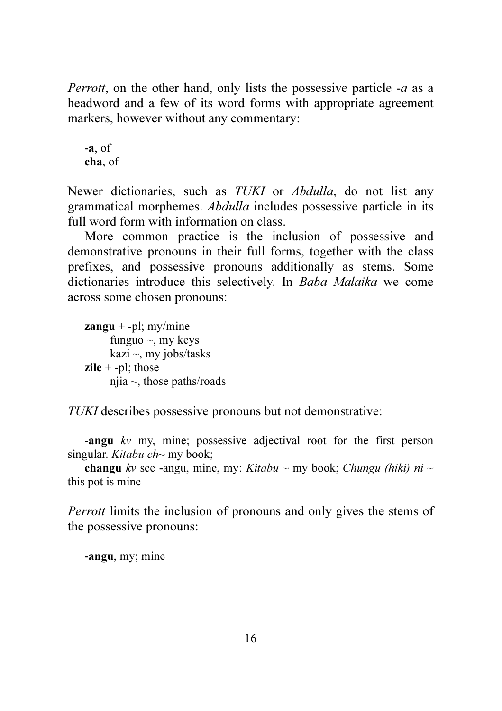*Perrott*, on the other hand, only lists the possessive particle -*a* as a headword and a few of its word forms with appropriate agreement markers, however without any commentary:

-a, of cha, of

Newer dictionaries, such as *TUKI* or *Abdulla*, do not list any grammatical morphemes. *Abdulla* includes possessive particle in its full word form with information on class.

More common practice is the inclusion of possessive and demonstrative pronouns in their full forms, together with the class prefixes, and possessive pronouns additionally as stems. Some dictionaries introduce this selectively. In *Baba Malaika* we come across some chosen pronouns:

 $zangu + -pl$ ; my/mine funguo  $\sim$ , my keys kazi  $\sim$ , my jobs/tasks zile  $+$  -pl; those njia  $\sim$ , those paths/roads

*TUKI* describes possessive pronouns but not demonstrative:

-angu *kv* my, mine; possessive adjectival root for the first person singular. *Kitabu ch~* my book;

**changu** *kv* see -angu, mine, my: *Kitabu*  $\sim$  my book; *Chungu (hiki) ni*  $\sim$ this pot is mine

*Perrott* limits the inclusion of pronouns and only gives the stems of the possessive pronouns:

-angu, my; mine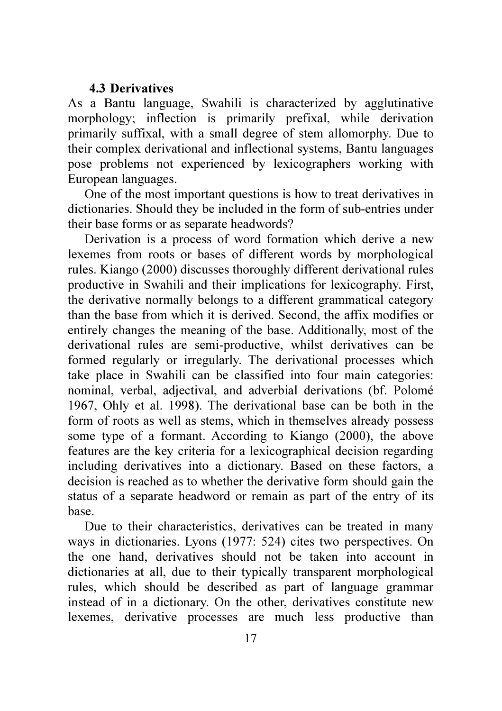### 4.3 Derivatives

As a Bantu language, Swahili is characterized by agglutinative morphology; inflection is primarily prefixal, while derivation primarily suffixal, with a small degree of stem allomorphy. Due to their complex derivational and inflectional systems, Bantu languages pose problems not experienced by lexicographers working with European languages.

One of the most important questions is how to treat derivatives in dictionaries. Should they be included in the form of sub-entries under their base forms or as separate headwords?

Derivation is a process of word formation which derive a new lexemes from roots or bases of different words by morphological rules. Kiango (2000) discusses thoroughly different derivational rules productive in Swahili and their implications for lexicography. First, the derivative normally belongs to a different grammatical category than the base from which it is derived. Second, the affix modifies or entirely changes the meaning of the base. Additionally, most of the derivational rules are semi-productive, whilst derivatives can be formed regularly or irregularly. The derivational processes which take place in Swahili can be classified into four main categories: nominal, verbal, adjectival, and adverbial derivations (bf. Polomé 1967, Ohly et al. 1998). The derivational base can be both in the form of roots as well as stems, which in themselves already possess some type of a formant. According to Kiango (2000), the above features are the key criteria for a lexicographical decision regarding including derivatives into a dictionary. Based on these factors, a decision is reached as to whether the derivative form should gain the status of a separate headword or remain as part of the entry of its base.

Due to their characteristics, derivatives can be treated in many ways in dictionaries. Lyons (1977: 524) cites two perspectives. On the one hand, derivatives should not be taken into account in dictionaries at all, due to their typically transparent morphological rules, which should be described as part of language grammar instead of in a dictionary. On the other, derivatives constitute new lexemes, derivative processes are much less productive than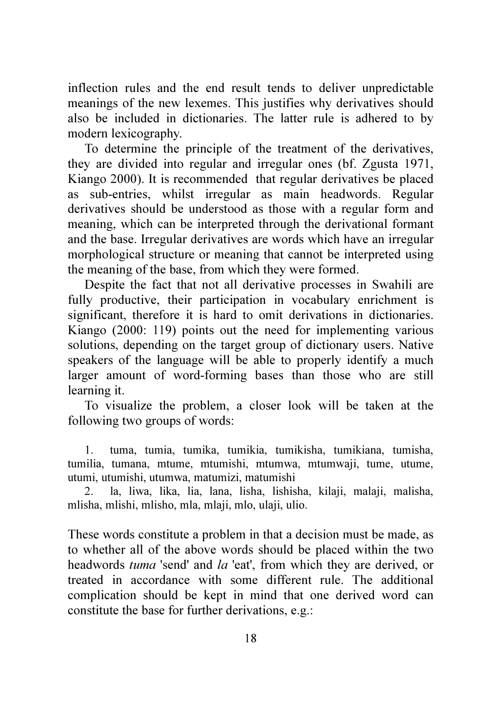inflection rules and the end result tends to deliver unpredictable meanings of the new lexemes. This justifies why derivatives should also be included in dictionaries. The latter rule is adhered to by modern lexicography.

To determine the principle of the treatment of the derivatives, they are divided into regular and irregular ones (bf. Zgusta 1971, Kiango 2000). It is recommended that regular derivatives be placed as sub-entries, whilst irregular as main headwords. Regular derivatives should be understood as those with a regular form and meaning, which can be interpreted through the derivational formant and the base. Irregular derivatives are words which have an irregular morphological structure or meaning that cannot be interpreted using the meaning of the base, from which they were formed.

Despite the fact that not all derivative processes in Swahili are fully productive, their participation in vocabulary enrichment is significant, therefore it is hard to omit derivations in dictionaries. Kiango (2000: 119) points out the need for implementing various solutions, depending on the target group of dictionary users. Native speakers of the language will be able to properly identify a much larger amount of word-forming bases than those who are still learning it.

To visualize the problem, a closer look will be taken at the following two groups of words:

1. tuma, tumia, tumika, tumikia, tumikisha, tumikiana, tumisha, tumilia, tumana, mtume, mtumishi, mtumwa, mtumwaji, tume, utume, utumi, utumishi, utumwa, matumizi, matumishi

2. la, liwa, lika, lia, lana, lisha, lishisha, kilaji, malaji, malisha, mlisha, mlishi, mlisho, mla, mlaji, mlo, ulaji, ulio.

These words constitute a problem in that a decision must be made, as to whether all of the above words should be placed within the two headwords *tuma* 'send' and *la* 'eat', from which they are derived, or treated in accordance with some different rule. The additional complication should be kept in mind that one derived word can constitute the base for further derivations, e.g.: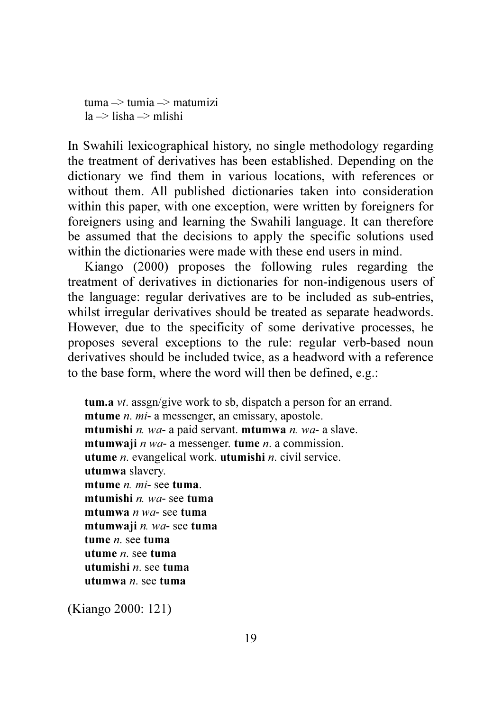tuma  $\Rightarrow$  tumia  $\Rightarrow$  matumizi  $|a \rangle$ lisha  $\Rightarrow$  mlishi

In Swahili lexicographical history, no single methodology regarding the treatment of derivatives has been established. Depending on the dictionary we find them in various locations, with references or without them. All published dictionaries taken into consideration within this paper, with one exception, were written by foreigners for foreigners using and learning the Swahili language. It can therefore be assumed that the decisions to apply the specific solutions used within the dictionaries were made with these end users in mind.

Kiango (2000) proposes the following rules regarding the treatment of derivatives in dictionaries for non-indigenous users of the language: regular derivatives are to be included as sub-entries, whilst irregular derivatives should be treated as separate headwords. However, due to the specificity of some derivative processes, he proposes several exceptions to the rule: regular verb-based noun derivatives should be included twice, as a headword with a reference to the base form, where the word will then be defined, e.g.:

```
tum.a vt. assgn/give work to sb, dispatch a person for an errand. 
mtume n. mi- a messenger, an emissary, apostole. 
mtumishi n. wa- a paid servant. mtumwa n. wa- a slave. 
mtumwaji n wa- a messenger. tume n. a commission. 
utume n. evangelical work. utumishi n. civil service. 
utumwa slavery. 
mtume n. mi- see tuma. 
mtumishi n. wa- see tuma
mtumwa n wa- see tuma
mtumwaji n. wa- see tuma
tume n. see tuma
utume n. see tuma
utumishi n. see tuma
utumwa n. see tuma
```
(Kiango 2000: 121)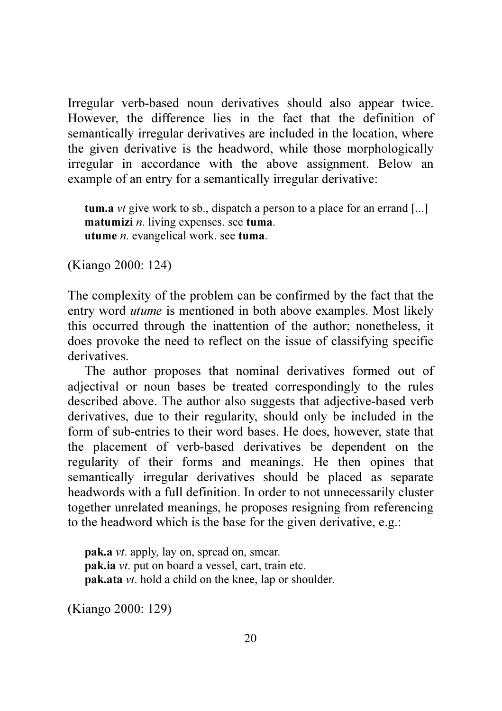Irregular verb-based noun derivatives should also appear twice. However, the difference lies in the fact that the definition of semantically irregular derivatives are included in the location, where the given derivative is the headword, while those morphologically irregular in accordance with the above assignment. Below an example of an entry for a semantically irregular derivative:

tum.a *vt* give work to sb., dispatch a person to a place for an errand [...] matumizi *n*. living expenses. see tuma. utume *n*. evangelical work. see tuma.

(Kiango 2000: 124)

The complexity of the problem can be confirmed by the fact that the entry word *utume* is mentioned in both above examples. Most likely this occurred through the inattention of the author; nonetheless, it does provoke the need to reflect on the issue of classifying specific derivatives.

The author proposes that nominal derivatives formed out of adjectival or noun bases be treated correspondingly to the rules described above. The author also suggests that adjective-based verb derivatives, due to their regularity, should only be included in the form of sub-entries to their word bases. He does, however, state that the placement of verb-based derivatives be dependent on the regularity of their forms and meanings. He then opines that semantically irregular derivatives should be placed as separate headwords with a full definition. In order to not unnecessarily cluster together unrelated meanings, he proposes resigning from referencing to the headword which is the base for the given derivative, e.g.:

pak.a *vt*. apply, lay on, spread on, smear. pak.ia *vt*. put on board a vessel, cart, train etc. pak.ata *vt*. hold a child on the knee, lap or shoulder.

(Kiango 2000: 129)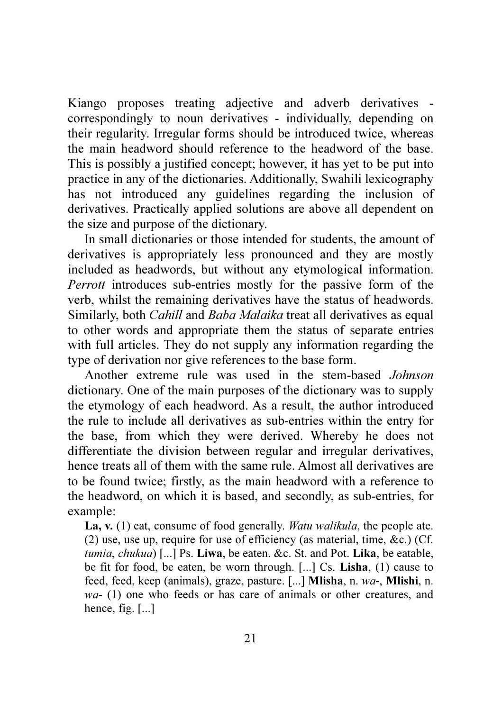Kiango proposes treating adjective and adverb derivatives correspondingly to noun derivatives - individually, depending on their regularity. Irregular forms should be introduced twice, whereas the main headword should reference to the headword of the base. This is possibly a justified concept; however, it has yet to be put into practice in any of the dictionaries. Additionally, Swahili lexicography has not introduced any guidelines regarding the inclusion of derivatives. Practically applied solutions are above all dependent on the size and purpose of the dictionary.

In small dictionaries or those intended for students, the amount of derivatives is appropriately less pronounced and they are mostly included as headwords, but without any etymological information. *Perrott* introduces sub-entries mostly for the passive form of the verb, whilst the remaining derivatives have the status of headwords. Similarly, both *Cahill* and *Baba Malaika* treat all derivatives as equal to other words and appropriate them the status of separate entries with full articles. They do not supply any information regarding the type of derivation nor give references to the base form.

Another extreme rule was used in the stem-based *Johnson* dictionary. One of the main purposes of the dictionary was to supply the etymology of each headword. As a result, the author introduced the rule to include all derivatives as sub-entries within the entry for the base, from which they were derived. Whereby he does not differentiate the division between regular and irregular derivatives, hence treats all of them with the same rule. Almost all derivatives are to be found twice; firstly, as the main headword with a reference to the headword, on which it is based, and secondly, as sub-entries, for example:

La, v. (1) eat, consume of food generally. *Watu walikula*, the people ate. (2) use, use up, require for use of efficiency (as material, time,  $\&c$ .) (Cf. *tumia*, *chukua*) [...] Ps. Liwa, be eaten. &c. St. and Pot. Lika, be eatable, be fit for food, be eaten, be worn through. [...] Cs. Lisha, (1) cause to feed, feed, keep (animals), graze, pasture. [...] Mlisha, n. *wa*-, Mlishi, n. *wa*- (1) one who feeds or has care of animals or other creatures, and hence, fig. [...]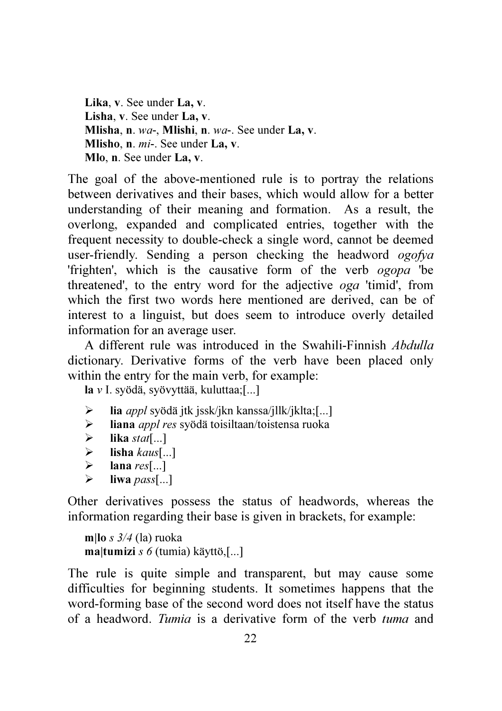Lika, v. See under La, v. Lisha, v. See under La, v. Mlisha, n. *wa*-, Mlishi, n. *wa*-. See under La, v. Mlisho, n. *mi*-. See under La, v. Mlo, n. See under La, v.

The goal of the above-mentioned rule is to portray the relations between derivatives and their bases, which would allow for a better understanding of their meaning and formation. As a result, the overlong, expanded and complicated entries, together with the frequent necessity to double-check a single word, cannot be deemed user-friendly. Sending a person checking the headword *ogofya*  'frighten', which is the causative form of the verb *ogopa* 'be threatened', to the entry word for the adjective *oga* 'timid', from which the first two words here mentioned are derived, can be of interest to a linguist, but does seem to introduce overly detailed information for an average user.

A different rule was introduced in the Swahili-Finnish *Abdulla*  dictionary. Derivative forms of the verb have been placed only within the entry for the main verb, for example:

la *v* I. syödä, syövyttää, kuluttaa;[...]

- lia *appl* syödä jtk jssk/jkn kanssa/jllk/jklta;[...]
- liana *appl res* syödä toisiltaan/toistensa ruoka
- $\triangleright$  **lika** *stat*[...]
- $\triangleright$  lisha *kaus*[...]<br> $\triangleright$  lana *res*[...]
- lana *res*[...]
- $\triangleright$  liwa *pass*[...]

Other derivatives possess the status of headwords, whereas the information regarding their base is given in brackets, for example:

```
m|lo s 3/4 (la) ruoka 
ma|tumizi s 6 (tumia) käyttö,[...]
```
The rule is quite simple and transparent, but may cause some difficulties for beginning students. It sometimes happens that the word-forming base of the second word does not itself have the status of a headword. *Tumia* is a derivative form of the verb *tuma* and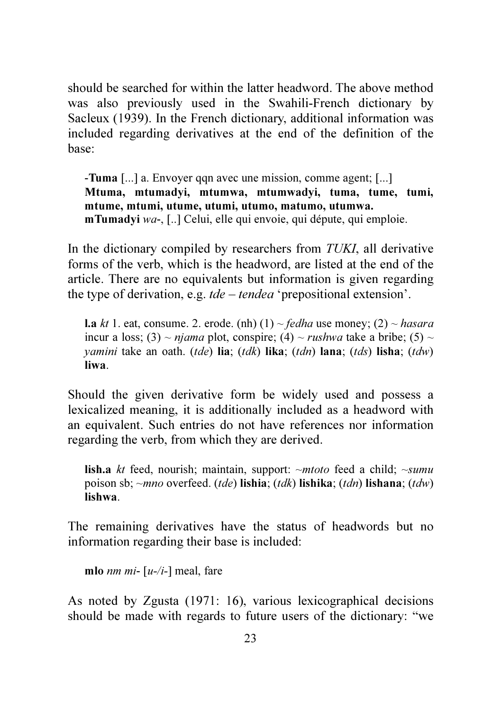should be searched for within the latter headword. The above method was also previously used in the Swahili-French dictionary by Sacleux (1939). In the French dictionary, additional information was included regarding derivatives at the end of the definition of the base:

-Tuma [...] a. Envoyer qqn avec une mission, comme agent; [...] Mtuma, mtumadyi, mtumwa, mtumwadyi, tuma, tume, tumi, mtume, mtumi, utume, utumi, utumo, matumo, utumwa. mTumadyi *wa*-, [..] Celui, elle qui envoie, qui députe, qui emploie.

In the dictionary compiled by researchers from *TUKI*, all derivative forms of the verb, which is the headword, are listed at the end of the article. There are no equivalents but information is given regarding the type of derivation, e.g. *tde* – *tendea* 'prepositional extension'.

**l.a** *kt* 1. eat, consume. 2. erode. (nh) (1)  $\sim$  *fedha* use money; (2)  $\sim$  *hasara* incur a loss; (3) ~ *njama* plot, conspire; (4) ~ *rushwa* take a bribe; (5) ~ *yamini* take an oath. (*tde*) lia; (*tdk*) lika; (*tdn*) lana; (*tds*) lisha; (*tdw*) liwa.

Should the given derivative form be widely used and possess a lexicalized meaning, it is additionally included as a headword with an equivalent. Such entries do not have references nor information regarding the verb, from which they are derived.

lish.a *kt* feed, nourish; maintain, support: ~*mtoto* feed a child; ~*sumu* poison sb; ~*mno* overfeed. (*tde*) lishia; (*tdk*) lishika; (*tdn*) lishana; (*tdw*) lishwa.

The remaining derivatives have the status of headwords but no information regarding their base is included:

mlo *nm mi*- [*u-/i-*] meal, fare

As noted by Zgusta (1971: 16), various lexicographical decisions should be made with regards to future users of the dictionary: "we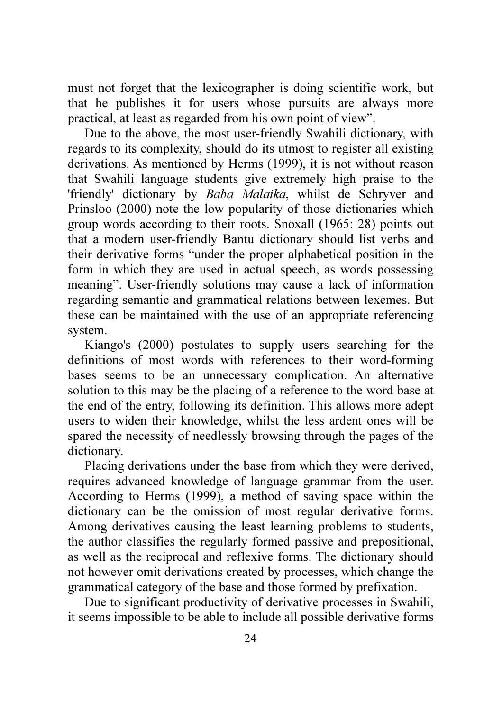must not forget that the lexicographer is doing scientific work, but that he publishes it for users whose pursuits are always more practical, at least as regarded from his own point of view".

Due to the above, the most user-friendly Swahili dictionary, with regards to its complexity, should do its utmost to register all existing derivations. As mentioned by Herms (1999), it is not without reason that Swahili language students give extremely high praise to the 'friendly' dictionary by *Baba Malaika*, whilst de Schryver and Prinsloo (2000) note the low popularity of those dictionaries which group words according to their roots. Snoxall (1965: 28) points out that a modern user-friendly Bantu dictionary should list verbs and their derivative forms "under the proper alphabetical position in the form in which they are used in actual speech, as words possessing meaning". User-friendly solutions may cause a lack of information regarding semantic and grammatical relations between lexemes. But these can be maintained with the use of an appropriate referencing system.

Kiango's (2000) postulates to supply users searching for the definitions of most words with references to their word-forming bases seems to be an unnecessary complication. An alternative solution to this may be the placing of a reference to the word base at the end of the entry, following its definition. This allows more adept users to widen their knowledge, whilst the less ardent ones will be spared the necessity of needlessly browsing through the pages of the dictionary.

Placing derivations under the base from which they were derived, requires advanced knowledge of language grammar from the user. According to Herms (1999), a method of saving space within the dictionary can be the omission of most regular derivative forms. Among derivatives causing the least learning problems to students, the author classifies the regularly formed passive and prepositional, as well as the reciprocal and reflexive forms. The dictionary should not however omit derivations created by processes, which change the grammatical category of the base and those formed by prefixation.

Due to significant productivity of derivative processes in Swahili, it seems impossible to be able to include all possible derivative forms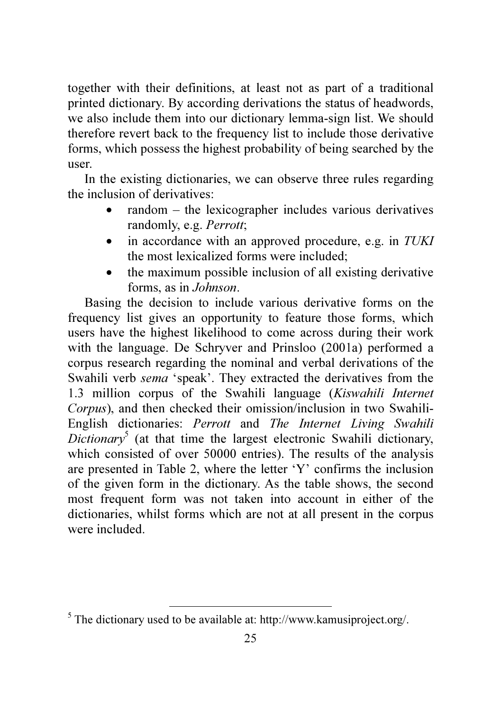together with their definitions, at least not as part of a traditional printed dictionary. By according derivations the status of headwords, we also include them into our dictionary lemma-sign list. We should therefore revert back to the frequency list to include those derivative forms, which possess the highest probability of being searched by the user.

In the existing dictionaries, we can observe three rules regarding the inclusion of derivatives:

- random the lexicographer includes various derivatives randomly, e.g. *Perrott*;
- in accordance with an approved procedure, e.g. in *TUKI* the most lexicalized forms were included;
- the maximum possible inclusion of all existing derivative forms, as in *Johnson*.

Basing the decision to include various derivative forms on the frequency list gives an opportunity to feature those forms, which users have the highest likelihood to come across during their work with the language. De Schryver and Prinsloo (2001a) performed a corpus research regarding the nominal and verbal derivations of the Swahili verb *sema* 'speak'. They extracted the derivatives from the 1.3 million corpus of the Swahili language (*Kiswahili Internet Corpus*), and then checked their omission/inclusion in two Swahili-English dictionaries: *Perrott* and *The Internet Living Swahili Dictionary*<sup>5</sup> (at that time the largest electronic Swahili dictionary, which consisted of over 50000 entries). The results of the analysis are presented in Table 2, where the letter 'Y' confirms the inclusion of the given form in the dictionary. As the table shows, the second most frequent form was not taken into account in either of the dictionaries, whilst forms which are not at all present in the corpus were included.

l,

 $<sup>5</sup>$  The dictionary used to be available at: http://www.kamusiproject.org/.</sup>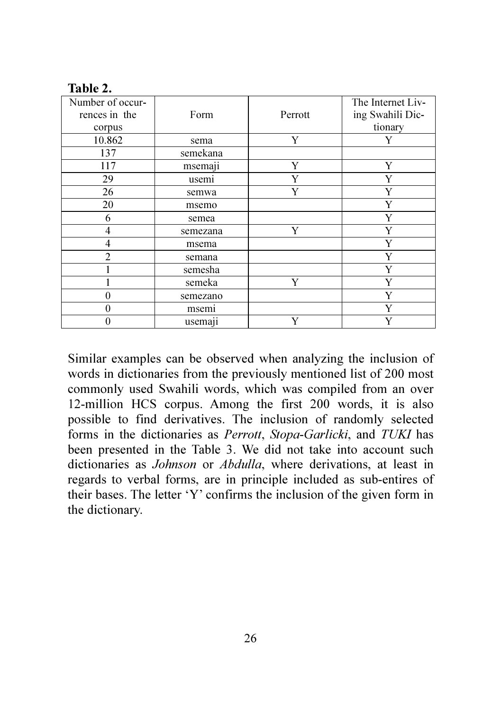| таріс 4.                          |          |         |                                       |
|-----------------------------------|----------|---------|---------------------------------------|
| Number of occur-<br>rences in the | Form     | Perrott | The Internet Liv-<br>ing Swahili Dic- |
| corpus                            |          |         | tionary                               |
| 10.862                            | sema     | Y       | Y                                     |
| 137                               | semekana |         |                                       |
| 117                               | msemaji  | Y       | Y                                     |
| 29                                | usemi    |         | Y                                     |
| 26                                | semwa    | Y       | Y                                     |
| 20                                | msemo    |         | Y                                     |
| 6                                 | semea    |         | Y                                     |
| 4                                 | semezana | Y       | Y                                     |
| 4                                 | msema    |         | Y                                     |
| $\overline{c}$                    | semana   |         | Y                                     |
|                                   | semesha  |         | Y                                     |
|                                   | semeka   | Y       | Y                                     |
| $\Omega$                          | semezano |         | Y                                     |
| $\Omega$                          | msemi    |         | Y                                     |
| $\mathbf{0}$                      | usemaji  | Y       | Y                                     |

Table 2.

Similar examples can be observed when analyzing the inclusion of words in dictionaries from the previously mentioned list of 200 most commonly used Swahili words, which was compiled from an over 12-million HCS corpus. Among the first 200 words, it is also possible to find derivatives. The inclusion of randomly selected forms in the dictionaries as *Perrott*, *Stopa-Garlicki*, and *TUKI* has been presented in the Table 3. We did not take into account such dictionaries as *Johnson* or *Abdulla*, where derivations, at least in regards to verbal forms, are in principle included as sub-entires of their bases. The letter 'Y' confirms the inclusion of the given form in the dictionary.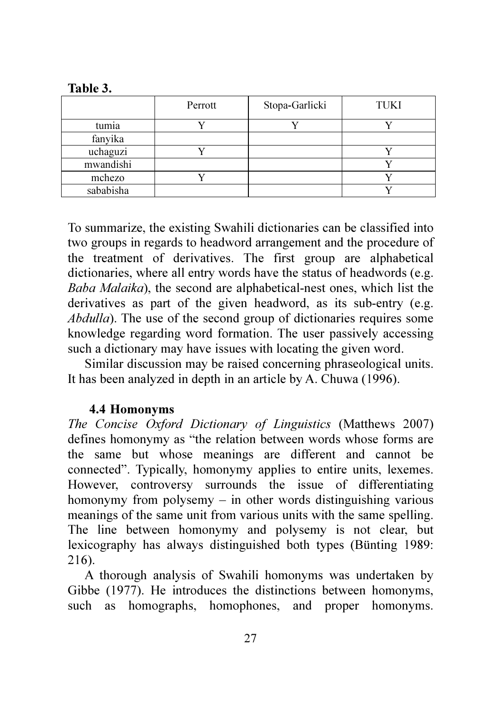Table 3.

|           | Perrott | Stopa-Garlicki | TUKI |
|-----------|---------|----------------|------|
| tumia     |         |                |      |
| fanyika   |         |                |      |
| uchaguzi  |         |                |      |
| mwandishi |         |                |      |
| mchezo    |         |                |      |
| sababisha |         |                |      |

To summarize, the existing Swahili dictionaries can be classified into two groups in regards to headword arrangement and the procedure of the treatment of derivatives. The first group are alphabetical dictionaries, where all entry words have the status of headwords (e.g. *Baba Malaika*), the second are alphabetical-nest ones, which list the derivatives as part of the given headword, as its sub-entry (e.g. *Abdulla*). The use of the second group of dictionaries requires some knowledge regarding word formation. The user passively accessing such a dictionary may have issues with locating the given word.

Similar discussion may be raised concerning phraseological units. It has been analyzed in depth in an article by A. Chuwa (1996).

## 4.4 Homonyms

*The Concise Oxford Dictionary of Linguistics* (Matthews 2007) defines homonymy as "the relation between words whose forms are the same but whose meanings are different and cannot be connected". Typically, homonymy applies to entire units, lexemes. However, controversy surrounds the issue of differentiating homonymy from polysemy – in other words distinguishing various meanings of the same unit from various units with the same spelling. The line between homonymy and polysemy is not clear, but lexicography has always distinguished both types (Bünting 1989: 216).

A thorough analysis of Swahili homonyms was undertaken by Gibbe (1977). He introduces the distinctions between homonyms, such as homographs, homophones, and proper homonyms.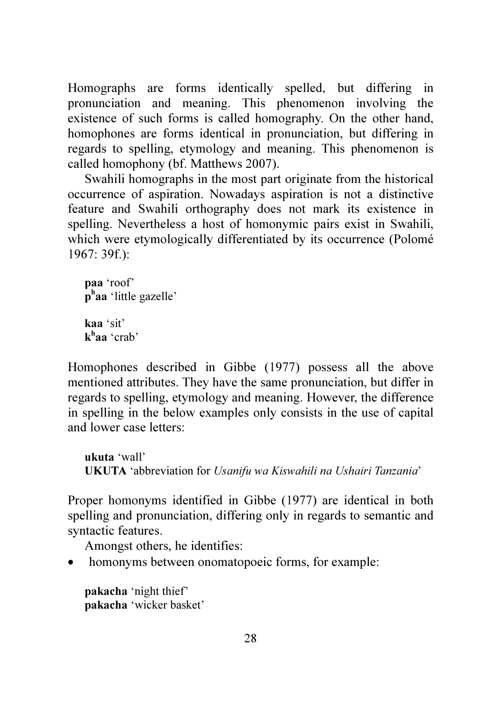Homographs are forms identically spelled, but differing in pronunciation and meaning. This phenomenon involving the existence of such forms is called homography. On the other hand, homophones are forms identical in pronunciation, but differing in regards to spelling, etymology and meaning. This phenomenon is called homophony (bf. Matthews 2007).

Swahili homographs in the most part originate from the historical occurrence of aspiration. Nowadays aspiration is not a distinctive feature and Swahili orthography does not mark its existence in spelling. Nevertheless a host of homonymic pairs exist in Swahili, which were etymologically differentiated by its occurrence (Polomé 1967: 39f.):

paa 'roof' p<sup>h</sup>aa 'little gazelle' kaa 'sit' k<sup>h</sup>aa 'crab'

Homophones described in Gibbe (1977) possess all the above mentioned attributes. They have the same pronunciation, but differ in regards to spelling, etymology and meaning. However, the difference in spelling in the below examples only consists in the use of capital and lower case letters:

ukuta 'wall' UKUTA 'abbreviation for *Usanifu wa Kiswahili na Ushairi Tanzania*'

Proper homonyms identified in Gibbe (1977) are identical in both spelling and pronunciation, differing only in regards to semantic and syntactic features.

Amongst others, he identifies:

• homonyms between onomatopoeic forms, for example:

pakacha 'night thief' pakacha 'wicker basket'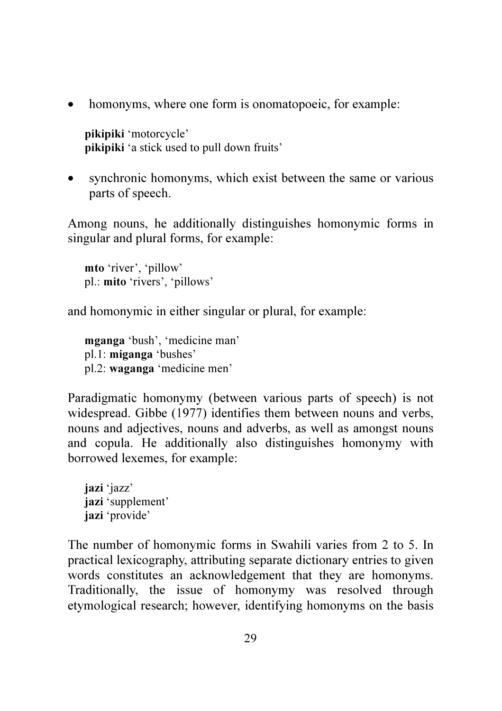• homonyms, where one form is onomatopoeic, for example:

pikipiki 'motorcycle' pikipiki 'a stick used to pull down fruits'

• synchronic homonyms, which exist between the same or various parts of speech.

Among nouns, he additionally distinguishes homonymic forms in singular and plural forms, for example:

mto 'river', 'pillow' pl.: mito 'rivers', 'pillows'

and homonymic in either singular or plural, for example:

mganga 'bush', 'medicine man' pl.1: miganga 'bushes' pl.2: waganga 'medicine men'

Paradigmatic homonymy (between various parts of speech) is not widespread. Gibbe (1977) identifies them between nouns and verbs, nouns and adjectives, nouns and adverbs, as well as amongst nouns and copula. He additionally also distinguishes homonymy with borrowed lexemes, for example:

iazi 'jazz' jazi 'supplement' jazi 'provide'

The number of homonymic forms in Swahili varies from 2 to 5. In practical lexicography, attributing separate dictionary entries to given words constitutes an acknowledgement that they are homonyms. Traditionally, the issue of homonymy was resolved through etymological research; however, identifying homonyms on the basis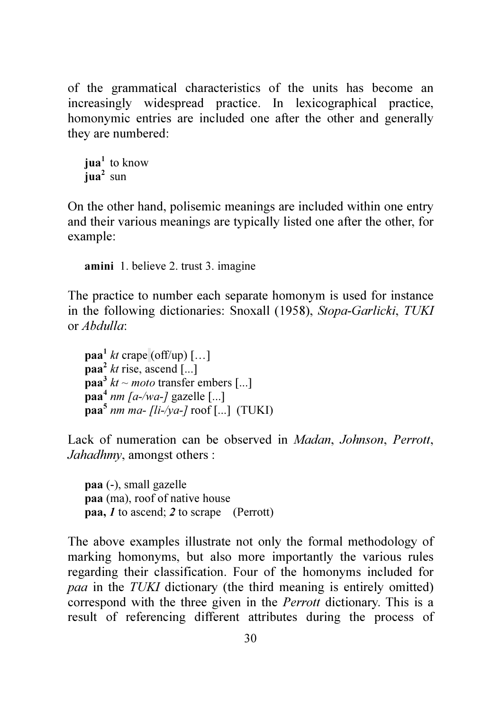of the grammatical characteristics of the units has become an increasingly widespread practice. In lexicographical practice, homonymic entries are included one after the other and generally they are numbered:

```
iua<sup>1</sup> to know
iua<sup>2</sup> sun
```
On the other hand, polisemic meanings are included within one entry and their various meanings are typically listed one after the other, for example:

amini 1. believe 2. trust 3. imagine

The practice to number each separate homonym is used for instance in the following dictionaries: Snoxall (1958), *Stopa-Garlicki*, *TUKI* or *Abdulla*:

```
\mathbf{paa}^1 kt crape (off/up) [...]\mathbf{p}aa<sup>2</sup> kt rise, ascend [...]
\mathbf{paa}^3 kt ~ moto transfer embers [...]
paa<sup>4</sup> nm [a-/wa-] gazelle [...]
paa5
nm ma- [li-/ya-] roof [...] (TUKI)
```
Lack of numeration can be observed in *Madan*, *Johnson*, *Perrott*, *Jahadhmy*, amongst others :

paa (-), small gazelle paa (ma), roof of native house paa, 1 to ascend; 2 to scrape (Perrott)

The above examples illustrate not only the formal methodology of marking homonyms, but also more importantly the various rules regarding their classification. Four of the homonyms included for *paa* in the *TUKI* dictionary (the third meaning is entirely omitted) correspond with the three given in the *Perrott* dictionary. This is a result of referencing different attributes during the process of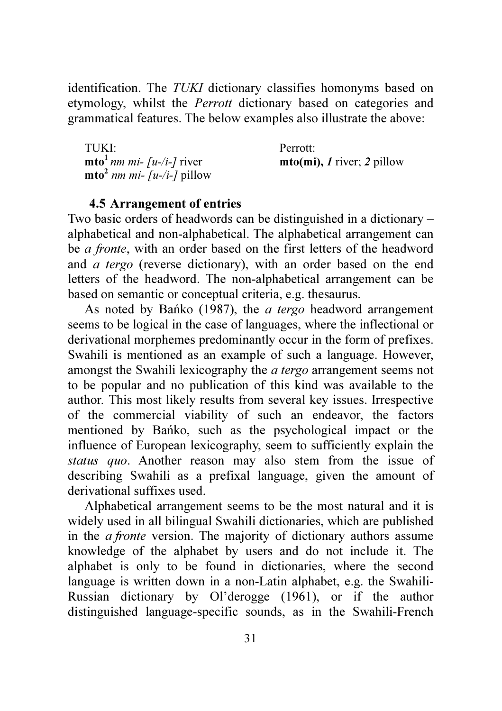identification. The *TUKI* dictionary classifies homonyms based on etymology, whilst the *Perrott* dictionary based on categories and grammatical features. The below examples also illustrate the above:

TUKI: Perrott:  $m \cdot \text{min}$  mi- [u-/i-] river  $m$  *nto(mi), 1 river; 2 pillow*  $m \times \left[ \frac{1}{u - 1} \right]$  pillow

#### 4.5 Arrangement of entries

Two basic orders of headwords can be distinguished in a dictionary – alphabetical and non-alphabetical. The alphabetical arrangement can be *a fronte*, with an order based on the first letters of the headword and *a tergo* (reverse dictionary), with an order based on the end letters of the headword. The non-alphabetical arrangement can be based on semantic or conceptual criteria, e.g. thesaurus.

As noted by Bańko (1987), the *a tergo* headword arrangement seems to be logical in the case of languages, where the inflectional or derivational morphemes predominantly occur in the form of prefixes. Swahili is mentioned as an example of such a language. However, amongst the Swahili lexicography the *a tergo* arrangement seems not to be popular and no publication of this kind was available to the author*.* This most likely results from several key issues. Irrespective of the commercial viability of such an endeavor, the factors mentioned by Bańko, such as the psychological impact or the influence of European lexicography, seem to sufficiently explain the *status quo*. Another reason may also stem from the issue of describing Swahili as a prefixal language, given the amount of derivational suffixes used.

Alphabetical arrangement seems to be the most natural and it is widely used in all bilingual Swahili dictionaries, which are published in the *a fronte* version. The majority of dictionary authors assume knowledge of the alphabet by users and do not include it. The alphabet is only to be found in dictionaries, where the second language is written down in a non-Latin alphabet, e.g. the Swahili-Russian dictionary by Ol'derogge (1961), or if the author distinguished language-specific sounds, as in the Swahili-French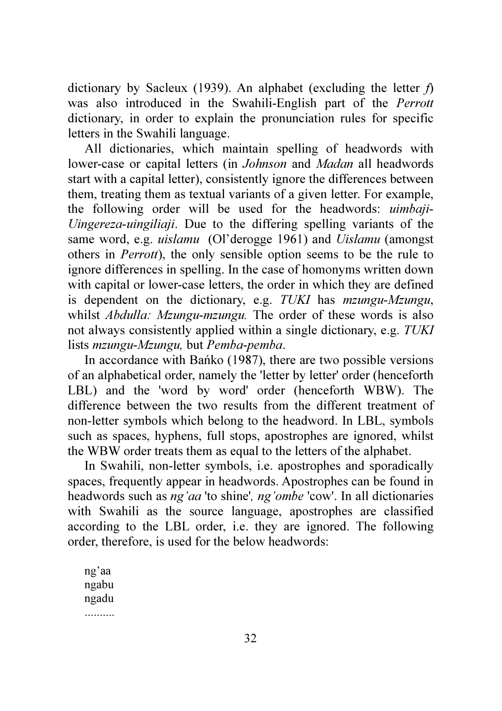dictionary by Sacleux (1939). An alphabet (excluding the letter *f*) was also introduced in the Swahili-English part of the *Perrott* dictionary, in order to explain the pronunciation rules for specific letters in the Swahili language.

All dictionaries, which maintain spelling of headwords with lower-case or capital letters (in *Johnson* and *Madan* all headwords start with a capital letter), consistently ignore the differences between them, treating them as textual variants of a given letter. For example, the following order will be used for the headwords: *uimbaji*-*Uingereza*-*uingiliaji*. Due to the differing spelling variants of the same word, e.g. *uislamu* (Ol'derogge 1961) and *Uislamu* (amongst others in *Perrott*), the only sensible option seems to be the rule to ignore differences in spelling. In the case of homonyms written down with capital or lower-case letters, the order in which they are defined is dependent on the dictionary, e.g. *TUKI* has *mzungu*-*Mzungu*, whilst *Abdulla: Mzungu*-*mzungu.* The order of these words is also not always consistently applied within a single dictionary, e.g. *TUKI* lists *mzungu*-*Mzungu,* but *Pemba*-*pemba*.

In accordance with Bańko (1987), there are two possible versions of an alphabetical order, namely the 'letter by letter' order (henceforth LBL) and the 'word by word' order (henceforth WBW). The difference between the two results from the different treatment of non-letter symbols which belong to the headword. In LBL, symbols such as spaces, hyphens, full stops, apostrophes are ignored, whilst the WBW order treats them as equal to the letters of the alphabet.

In Swahili, non-letter symbols, i.e. apostrophes and sporadically spaces, frequently appear in headwords. Apostrophes can be found in headwords such as *ng'aa* 'to shine'*, ng'ombe* 'cow'. In all dictionaries with Swahili as the source language, apostrophes are classified according to the LBL order, i.e. they are ignored. The following order, therefore, is used for the below headwords:

ng'aa ngabu ngadu ..........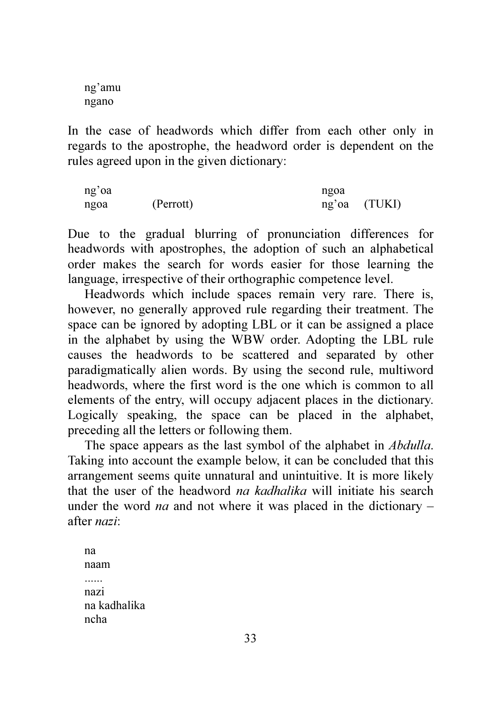ng'amu ngano

In the case of headwords which differ from each other only in regards to the apostrophe, the headword order is dependent on the rules agreed upon in the given dictionary:

ng'oa ngoa ngoa (Perrott) ng'oa (TUKI)

Due to the gradual blurring of pronunciation differences for headwords with apostrophes, the adoption of such an alphabetical order makes the search for words easier for those learning the language, irrespective of their orthographic competence level.

Headwords which include spaces remain very rare. There is, however, no generally approved rule regarding their treatment. The space can be ignored by adopting LBL or it can be assigned a place in the alphabet by using the WBW order. Adopting the LBL rule causes the headwords to be scattered and separated by other paradigmatically alien words. By using the second rule, multiword headwords, where the first word is the one which is common to all elements of the entry, will occupy adjacent places in the dictionary. Logically speaking, the space can be placed in the alphabet, preceding all the letters or following them.

The space appears as the last symbol of the alphabet in *Abdulla*. Taking into account the example below, it can be concluded that this arrangement seems quite unnatural and unintuitive. It is more likely that the user of the headword *na kadhalika* will initiate his search under the word *na* and not where it was placed in the dictionary – after *nazi*:

na naam nazi na kadhalika ncha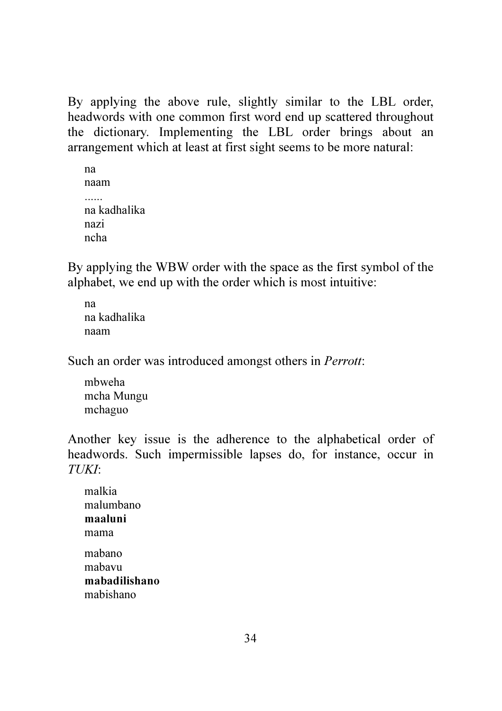By applying the above rule, slightly similar to the LBL order, headwords with one common first word end up scattered throughout the dictionary. Implementing the LBL order brings about an arrangement which at least at first sight seems to be more natural:

```
na 
naam 
na kadhalika 
nazi 
ncha
```
By applying the WBW order with the space as the first symbol of the alphabet, we end up with the order which is most intuitive:

na na kadhalika naam

Such an order was introduced amongst others in *Perrott*:

mbweha mcha Mungu mchaguo

Another key issue is the adherence to the alphabetical order of headwords. Such impermissible lapses do, for instance, occur in *TUKI*:

malkia malumbano maaluni mama mabano mabavu mabadilishano mabishano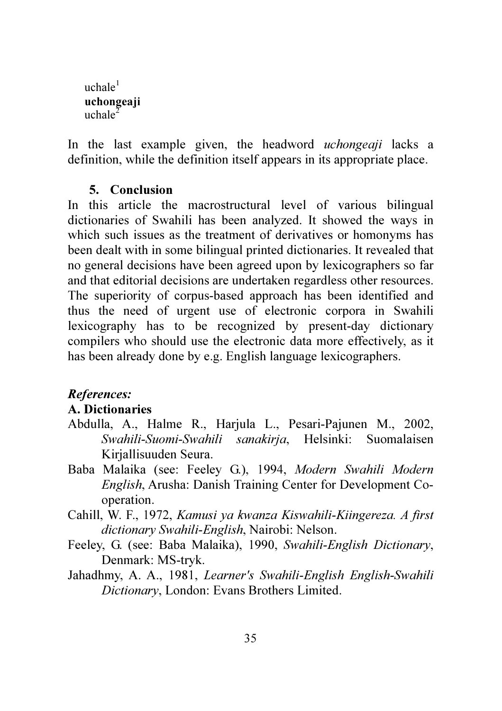$uchale<sup>1</sup>$ uchongeaji uchale $^2$ 

In the last example given, the headword *uchongeaji* lacks a definition, while the definition itself appears in its appropriate place.

#### 5. Conclusion

In this article the macrostructural level of various bilingual dictionaries of Swahili has been analyzed. It showed the ways in which such issues as the treatment of derivatives or homonyms has been dealt with in some bilingual printed dictionaries. It revealed that no general decisions have been agreed upon by lexicographers so far and that editorial decisions are undertaken regardless other resources. The superiority of corpus-based approach has been identified and thus the need of urgent use of electronic corpora in Swahili lexicography has to be recognized by present-day dictionary compilers who should use the electronic data more effectively, as it has been already done by e.g. English language lexicographers.

#### References:

#### A. Dictionaries

- Abdulla, A., Halme R., Harjula L., Pesari-Pajunen M., 2002, *Swahili-Suomi-Swahili sanakirja*, Helsinki: Suomalaisen Kirjallisuuden Seura.
- Baba Malaika (see: Feeley G.), 1994, *Modern Swahili Modern English*, Arusha: Danish Training Center for Development Cooperation.
- Cahill, W. F., 1972, *Kamusi ya kwanza Kiswahili-Kiingereza. A first dictionary Swahili-English*, Nairobi: Nelson.
- Feeley, G. (see: Baba Malaika), 1990, *Swahili-English Dictionary*, Denmark: MS-tryk.
- Jahadhmy, A. A., 1981, *Learner's Swahili-English English-Swahili Dictionary*, London: Evans Brothers Limited.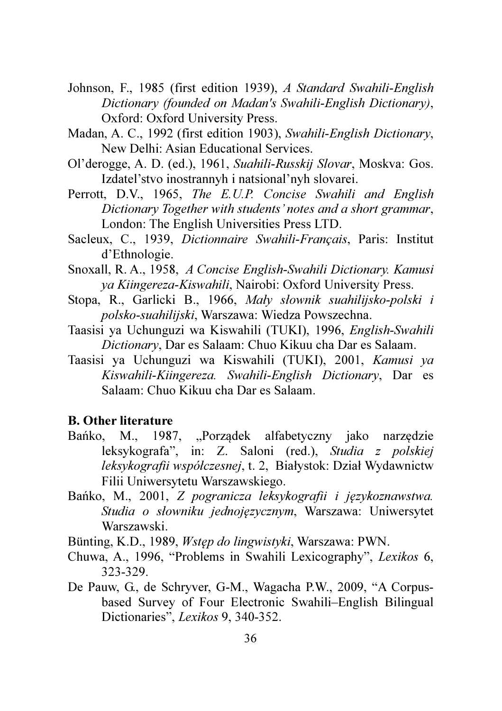- Johnson, F., 1985 (first edition 1939), *A Standard Swahili-English Dictionary (founded on Madan's Swahili-English Dictionary)*, Oxford: Oxford University Press.
- Madan, A. C., 1992 (first edition 1903), *Swahili-English Dictionary*, New Delhi: Asian Educational Services.
- Ol'derogge, A. D. (ed.), 1961, *Suahili-Russkij Slovar*, Moskva: Gos. Izdatel'stvo inostrannyh i natsional'nyh slovarei.
- Perrott, D.V., 1965, *The E.U.P. Concise Swahili and English Dictionary Together with students' notes and a short grammar*, London: The English Universities Press LTD.
- Sacleux, C., 1939, *Dictionnaire Swahili-Français*, Paris: Institut d'Ethnologie.
- Snoxall, R. A., 1958, *A Concise English-Swahili Dictionary. Kamusi ya Kiingereza-Kiswahili*, Nairobi: Oxford University Press.
- Stopa, R., Garlicki B., 1966, *Mały słownik suahilijsko-polski i polsko-suahilijski*, Warszawa: Wiedza Powszechna.
- Taasisi ya Uchunguzi wa Kiswahili (TUKI), 1996, *English-Swahili Dictionary*, Dar es Salaam: Chuo Kikuu cha Dar es Salaam.
- Taasisi ya Uchunguzi wa Kiswahili (TUKI), 2001, *Kamusi ya Kiswahili-Kiingereza. Swahili-English Dictionary*, Dar es Salaam: Chuo Kikuu cha Dar es Salaam.

# B. Other literature

- Bańko, M., 1987, "Porządek alfabetyczny jako narzędzie leksykografa", in: Z. Saloni (red.), *Studia z polskiej leksykografii współczesnej*, t. 2, Białystok: Dział Wydawnictw Filii Uniwersytetu Warszawskiego.
- Bańko, M., 2001, *Z pogranicza leksykografii i językoznawstwa. Studia o słowniku jednojęzycznym*, Warszawa: Uniwersytet Warszawski.
- Bünting, K.D., 1989, *Wstęp do lingwistyki*, Warszawa: PWN.
- Chuwa, A., 1996, "Problems in Swahili Lexicography", *Lexikos* 6, 323-329.
- De Pauw, G., de Schryver, G-M., Wagacha P.W., 2009, "A Corpusbased Survey of Four Electronic Swahili–English Bilingual Dictionaries", *Lexikos* 9, 340-352.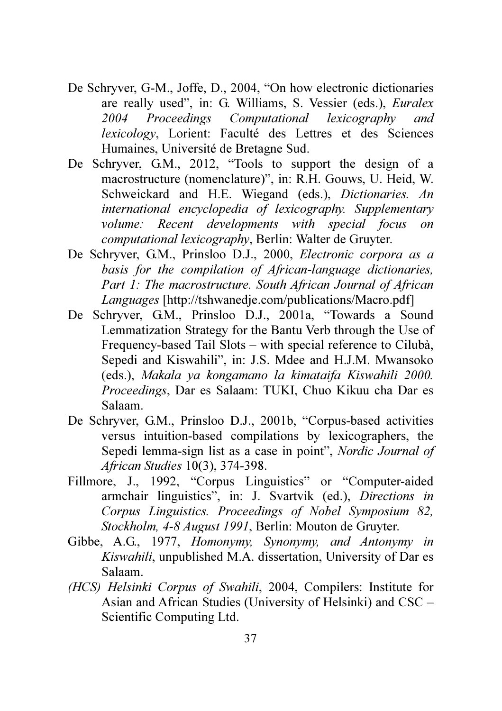- De Schryver, G-M., Joffe, D., 2004, "On how electronic dictionaries are really used", in: G. Williams, S. Vessier (eds.), *Euralex 2004 Proceedings Computational lexicography and lexicology*, Lorient: Faculté des Lettres et des Sciences Humaines, Université de Bretagne Sud.
- De Schryver, G.M., 2012, "Tools to support the design of a macrostructure (nomenclature)", in: R.H. Gouws, U. Heid, W. Schweickard and H.E. Wiegand (eds.), *Dictionaries. An international encyclopedia of lexicography. Supplementary volume: Recent developments with special focus on computational lexicography*, Berlin: Walter de Gruyter.
- De Schryver, G.M., Prinsloo D.J., 2000, *Electronic corpora as a basis for the compilation of African-language dictionaries, Part 1: The macrostructure. South African Journal of African Languages* [http://tshwanedje.com/publications/Macro.pdf]
- De Schryver, G.M., Prinsloo D.J., 2001a, "Towards a Sound Lemmatization Strategy for the Bantu Verb through the Use of Frequency-based Tail Slots – with special reference to Cilubà, Sepedi and Kiswahili", in: J.S. Mdee and H.J.M. Mwansoko (eds.), *Makala ya kongamano la kimataifa Kiswahili 2000. Proceedings*, Dar es Salaam: TUKI, Chuo Kikuu cha Dar es Salaam.
- De Schryver, G.M., Prinsloo D.J., 2001b, "Corpus-based activities versus intuition-based compilations by lexicographers, the Sepedi lemma-sign list as a case in point", *Nordic Journal of African Studies* 10(3), 374-398.
- Fillmore, J., 1992, "Corpus Linguistics" or "Computer-aided armchair linguistics", in: J. Svartvik (ed.), *Directions in Corpus Linguistics. Proceedings of Nobel Symposium 82, Stockholm, 4-8 August 1991*, Berlin: Mouton de Gruyter.
- Gibbe, A.G., 1977, *Homonymy, Synonymy, and Antonymy in Kiswahili*, unpublished M.A. dissertation, University of Dar es Salaam.
- *(HCS) Helsinki Corpus of Swahili*, 2004, Compilers: Institute for Asian and African Studies (University of Helsinki) and CSC – Scientific Computing Ltd.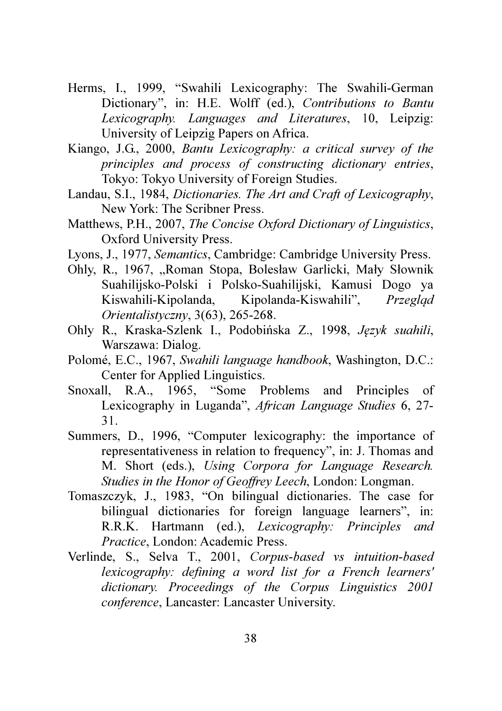- Herms, I., 1999, "Swahili Lexicography: The Swahili-German Dictionary", in: H.E. Wolff (ed.), *Contributions to Bantu Lexicography. Languages and Literatures*, 10, Leipzig: University of Leipzig Papers on Africa.
- Kiango, J.G., 2000, *Bantu Lexicography: a critical survey of the principles and process of constructing dictionary entries*, Tokyo: Tokyo University of Foreign Studies.
- Landau, S.I., 1984, *Dictionaries. The Art and Craft of Lexicography*, New York: The Scribner Press.
- Matthews, P.H., 2007, *The Concise Oxford Dictionary of Linguistics*, Oxford University Press.
- Lyons, J., 1977, *Semantics*, Cambridge: Cambridge University Press.
- Ohly, R., 1967, "Roman Stopa, Bolesław Garlicki, Mały Słownik Suahilijsko-Polski i Polsko-Suahilijski, Kamusi Dogo ya Kiswahili-Kipolanda, Kipolanda-Kiswahili", *Przegląd Orientalistyczny*, 3(63), 265-268.
- Ohly R., Kraska-Szlenk I., Podobińska Z., 1998, *Język suahili*, Warszawa: Dialog.
- Polomé, E.C., 1967, *Swahili language handbook*, Washington, D.C.: Center for Applied Linguistics.
- Snoxall, R.A., 1965, "Some Problems and Principles of Lexicography in Luganda", *African Language Studies* 6, 27- 31.
- Summers, D., 1996, "Computer lexicography: the importance of representativeness in relation to frequency", in: J. Thomas and M. Short (eds.), *Using Corpora for Language Research. Studies in the Honor of Geoffrey Leech*, London: Longman.
- Tomaszczyk, J., 1983, "On bilingual dictionaries. The case for bilingual dictionaries for foreign language learners", in: R.R.K. Hartmann (ed.), *Lexicography: Principles and Practice*, London: Academic Press.
- Verlinde, S., Selva T., 2001, *Corpus-based vs intuition-based lexicography: defining a word list for a French learners' dictionary. Proceedings of the Corpus Linguistics 2001 conference*, Lancaster: Lancaster University.